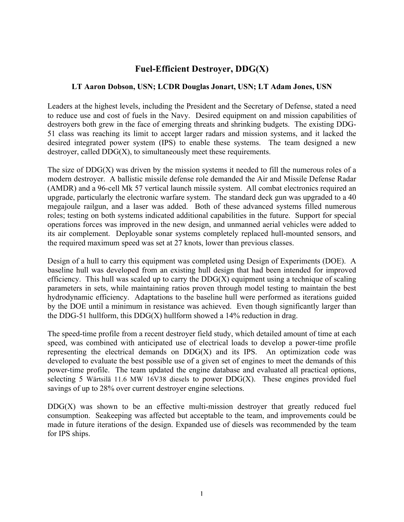## **Fuel-Efficient Destroyer, DDG(X)**

## **LT Aaron Dobson, USN; LCDR Douglas Jonart, USN; LT Adam Jones, USN**

Leaders at the highest levels, including the President and the Secretary of Defense, stated a need to reduce use and cost of fuels in the Navy. Desired equipment on and mission capabilities of destroyers both grew in the face of emerging threats and shrinking budgets. The existing DDG-51 class was reaching its limit to accept larger radars and mission systems, and it lacked the desired integrated power system (IPS) to enable these systems. The team designed a new destroyer, called  $DDG(X)$ , to simultaneously meet these requirements.

The size of  $DDG(X)$  was driven by the mission systems it needed to fill the numerous roles of a modern destroyer. A ballistic missile defense role demanded the Air and Missile Defense Radar (AMDR) and a 96-cell Mk 57 vertical launch missile system. All combat electronics required an upgrade, particularly the electronic warfare system. The standard deck gun was upgraded to a 40 megajoule railgun, and a laser was added. Both of these advanced systems filled numerous roles; testing on both systems indicated additional capabilities in the future. Support for special operations forces was improved in the new design, and unmanned aerial vehicles were added to its air complement. Deployable sonar systems completely replaced hull-mounted sensors, and the required maximum speed was set at 27 knots, lower than previous classes.

Design of a hull to carry this equipment was completed using Design of Experiments (DOE). A baseline hull was developed from an existing hull design that had been intended for improved efficiency. This hull was scaled up to carry the  $DDG(X)$  equipment using a technique of scaling parameters in sets, while maintaining ratios proven through model testing to maintain the best hydrodynamic efficiency. Adaptations to the baseline hull were performed as iterations guided by the DOE until a minimum in resistance was achieved. Even though significantly larger than the DDG-51 hullform, this  $DDG(X)$  hullform showed a 14% reduction in drag.

The speed-time profile from a recent destroyer field study, which detailed amount of time at each speed, was combined with anticipated use of electrical loads to develop a power-time profile representing the electrical demands on  $DDG(X)$  and its IPS. An optimization code was developed to evaluate the best possible use of a given set of engines to meet the demands of this power-time profile. The team updated the engine database and evaluated all practical options, selecting 5 Wärtsilä 11.6 MW 16V38 diesels to power DDG(X). These engines provided fuel savings of up to 28% over current destroyer engine selections.

 $DDG(X)$  was shown to be an effective multi-mission destroyer that greatly reduced fuel consumption. Seakeeping was affected but acceptable to the team, and improvements could be made in future iterations of the design. Expanded use of diesels was recommended by the team for IPS ships.